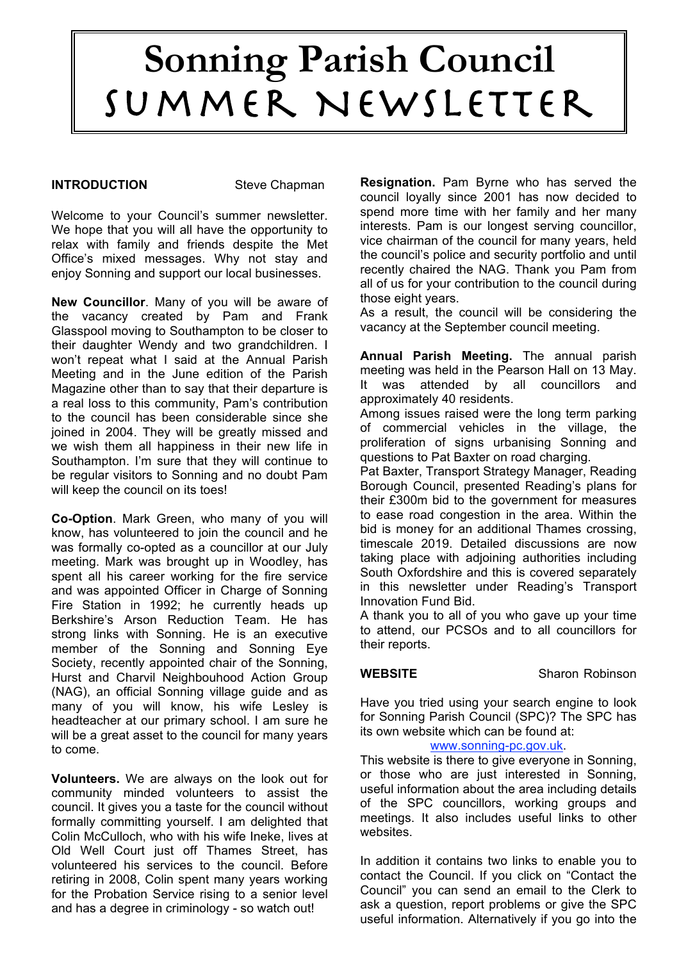# **Sonning Parish Council** Summer Newsletter

#### **INTRODUCTION** Steve Chapman

Welcome to your Council's summer newsletter. We hope that you will all have the opportunity to relax with family and friends despite the Met Office's mixed messages. Why not stay and enjoy Sonning and support our local businesses.

**New Councillor**. Many of you will be aware of the vacancy created by Pam and Frank Glasspool moving to Southampton to be closer to their daughter Wendy and two grandchildren. I won't repeat what I said at the Annual Parish Meeting and in the June edition of the Parish Magazine other than to say that their departure is a real loss to this community, Pam's contribution to the council has been considerable since she joined in 2004. They will be greatly missed and we wish them all happiness in their new life in Southampton. I'm sure that they will continue to be regular visitors to Sonning and no doubt Pam will keep the council on its toes!

**Co-Option**. Mark Green, who many of you will know, has volunteered to join the council and he was formally co-opted as a councillor at our July meeting. Mark was brought up in Woodley, has spent all his career working for the fire service and was appointed Officer in Charge of Sonning Fire Station in 1992; he currently heads up Berkshire's Arson Reduction Team. He has strong links with Sonning. He is an executive member of the Sonning and Sonning Eye Society, recently appointed chair of the Sonning, Hurst and Charvil Neighbouhood Action Group (NAG), an official Sonning village guide and as many of you will know, his wife Lesley is headteacher at our primary school. I am sure he will be a great asset to the council for many years to come.

**Volunteers.** We are always on the look out for community minded volunteers to assist the council. It gives you a taste for the council without formally committing yourself. I am delighted that Colin McCulloch, who with his wife Ineke, lives at Old Well Court just off Thames Street, has volunteered his services to the council. Before retiring in 2008, Colin spent many years working for the Probation Service rising to a senior level and has a degree in criminology - so watch out!

**Resignation.** Pam Byrne who has served the council loyally since 2001 has now decided to spend more time with her family and her many interests. Pam is our longest serving councillor, vice chairman of the council for many years, held the council's police and security portfolio and until recently chaired the NAG. Thank you Pam from all of us for your contribution to the council during those eight years.

As a result, the council will be considering the vacancy at the September council meeting.

**Annual Parish Meeting.** The annual parish meeting was held in the Pearson Hall on 13 May. It was attended by all councillors and approximately 40 residents.

Among issues raised were the long term parking of commercial vehicles in the village, the proliferation of signs urbanising Sonning and questions to Pat Baxter on road charging.

Pat Baxter, Transport Strategy Manager, Reading Borough Council, presented Reading's plans for their £300m bid to the government for measures to ease road congestion in the area. Within the bid is money for an additional Thames crossing, timescale 2019. Detailed discussions are now taking place with adjoining authorities including South Oxfordshire and this is covered separately in this newsletter under Reading's Transport Innovation Fund Bid.

A thank you to all of you who gave up your time to attend, our PCSOs and to all councillors for their reports.

**WEBSITE** Sharon Robinson

Have you tried using your search engine to look for Sonning Parish Council (SPC)? The SPC has its own website which can be found at:

#### www.sonning-pc.gov.uk.

This website is there to give everyone in Sonning, or those who are just interested in Sonning, useful information about the area including details of the SPC councillors, working groups and meetings. It also includes useful links to other websites.

In addition it contains two links to enable you to contact the Council. If you click on "Contact the Council" you can send an email to the Clerk to ask a question, report problems or give the SPC useful information. Alternatively if you go into the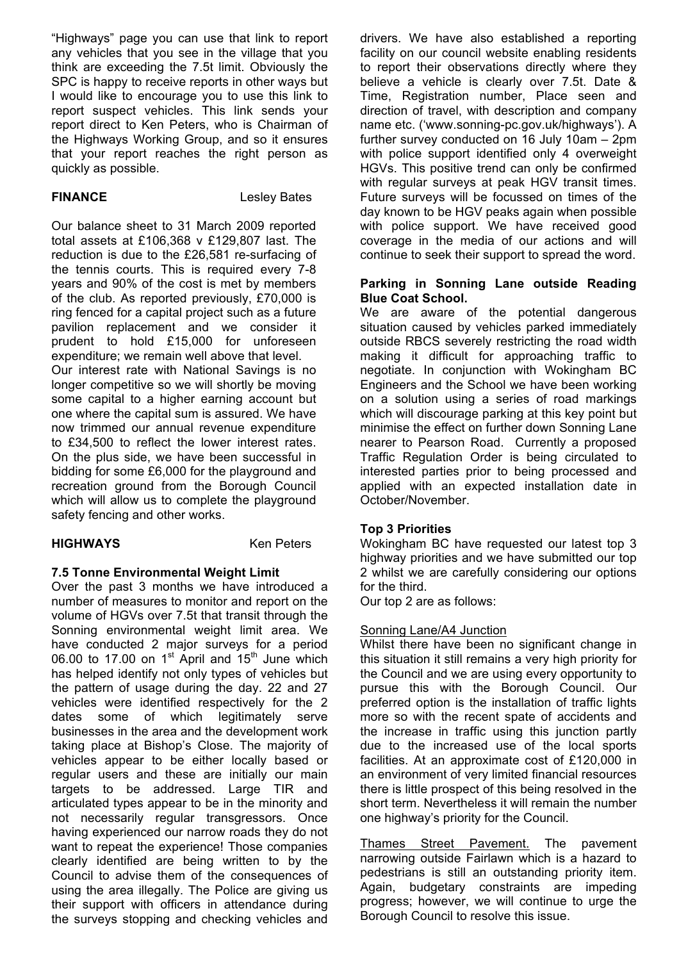"Highways" page you can use that link to report any vehicles that you see in the village that you think are exceeding the 7.5t limit. Obviously the SPC is happy to receive reports in other ways but I would like to encourage you to use this link to report suspect vehicles. This link sends your report direct to Ken Peters, who is Chairman of the Highways Working Group, and so it ensures that your report reaches the right person as quickly as possible.

**FINANCE** Lesley Bates

Our balance sheet to 31 March 2009 reported total assets at £106,368 v £129,807 last. The reduction is due to the £26,581 re-surfacing of the tennis courts. This is required every 7-8 years and 90% of the cost is met by members of the club. As reported previously, £70,000 is ring fenced for a capital project such as a future pavilion replacement and we consider it prudent to hold £15,000 for unforeseen expenditure; we remain well above that level. Our interest rate with National Savings is no longer competitive so we will shortly be moving some capital to a higher earning account but one where the capital sum is assured. We have now trimmed our annual revenue expenditure to £34,500 to reflect the lower interest rates. On the plus side, we have been successful in bidding for some £6,000 for the playground and recreation ground from the Borough Council which will allow us to complete the playground safety fencing and other works.

## **HIGHWAYS** Ken Peters

## **7.5 Tonne Environmental Weight Limit**

Over the past 3 months we have introduced a number of measures to monitor and report on the volume of HGVs over 7.5t that transit through the Sonning environmental weight limit area. We have conducted 2 major surveys for a period 06.00 to 17.00 on  $1<sup>st</sup>$  April and  $15<sup>th</sup>$  June which has helped identify not only types of vehicles but the pattern of usage during the day. 22 and 27 vehicles were identified respectively for the 2 dates some of which legitimately serve businesses in the area and the development work taking place at Bishop's Close. The majority of vehicles appear to be either locally based or regular users and these are initially our main targets to be addressed. Large TIR and articulated types appear to be in the minority and not necessarily regular transgressors. Once having experienced our narrow roads they do not want to repeat the experience! Those companies clearly identified are being written to by the Council to advise them of the consequences of using the area illegally. The Police are giving us their support with officers in attendance during the surveys stopping and checking vehicles and drivers. We have also established a reporting facility on our council website enabling residents to report their observations directly where they believe a vehicle is clearly over 7.5t. Date & Time, Registration number, Place seen and direction of travel, with description and company name etc. ('www.sonning-pc.gov.uk/highways'). A further survey conducted on 16 July 10am – 2pm with police support identified only 4 overweight HGVs. This positive trend can only be confirmed with regular surveys at peak HGV transit times. Future surveys will be focussed on times of the day known to be HGV peaks again when possible with police support. We have received good coverage in the media of our actions and will continue to seek their support to spread the word.

#### **Parking in Sonning Lane outside Reading Blue Coat School.**

We are aware of the potential dangerous situation caused by vehicles parked immediately outside RBCS severely restricting the road width making it difficult for approaching traffic to negotiate. In conjunction with Wokingham BC Engineers and the School we have been working on a solution using a series of road markings which will discourage parking at this key point but minimise the effect on further down Sonning Lane nearer to Pearson Road. Currently a proposed Traffic Regulation Order is being circulated to interested parties prior to being processed and applied with an expected installation date in October/November.

## **Top 3 Priorities**

Wokingham BC have requested our latest top 3 highway priorities and we have submitted our top 2 whilst we are carefully considering our options for the third.

Our top 2 are as follows:

#### Sonning Lane/A4 Junction

Whilst there have been no significant change in this situation it still remains a very high priority for the Council and we are using every opportunity to pursue this with the Borough Council. Our preferred option is the installation of traffic lights more so with the recent spate of accidents and the increase in traffic using this junction partly due to the increased use of the local sports facilities. At an approximate cost of £120,000 in an environment of very limited financial resources there is little prospect of this being resolved in the short term. Nevertheless it will remain the number one highway's priority for the Council.

Thames Street Pavement. The pavement narrowing outside Fairlawn which is a hazard to pedestrians is still an outstanding priority item. Again, budgetary constraints are impeding progress; however, we will continue to urge the Borough Council to resolve this issue.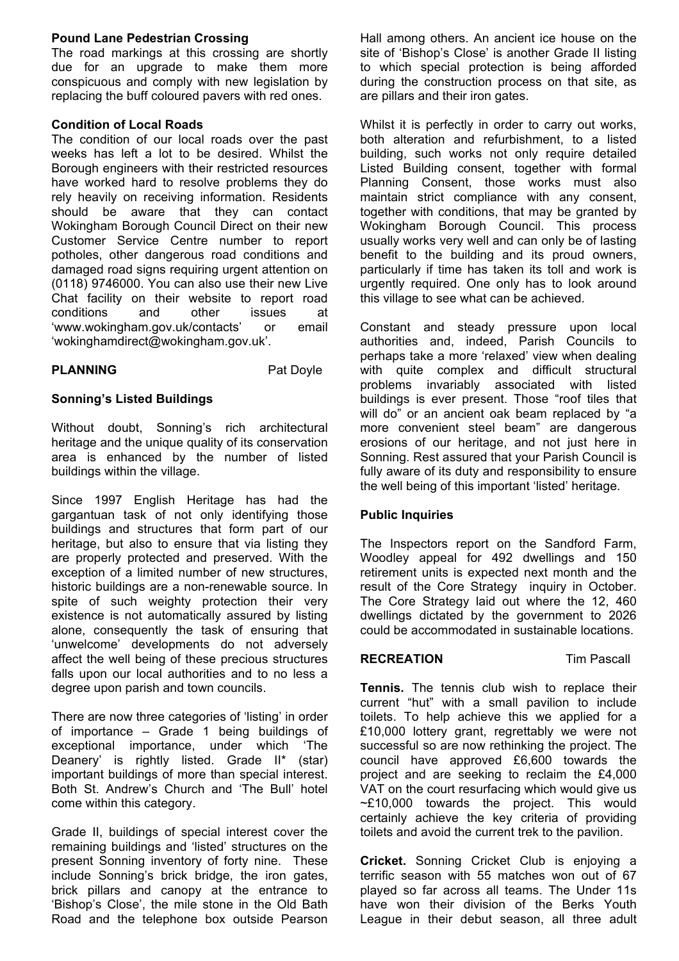#### **Pound Lane Pedestrian Crossing**

The road markings at this crossing are shortly due for an upgrade to make them more conspicuous and comply with new legislation by replacing the buff coloured pavers with red ones.

#### **Condition of Local Roads**

The condition of our local roads over the past weeks has left a lot to be desired. Whilst the Borough engineers with their restricted resources have worked hard to resolve problems they do rely heavily on receiving information. Residents should be aware that they can contact Wokingham Borough Council Direct on their new Customer Service Centre number to report potholes, other dangerous road conditions and damaged road signs requiring urgent attention on (0118) 9746000. You can also use their new Live Chat facility on their website to report road conditions and other issues at 'www.wokingham.gov.uk/contacts' or email 'wokinghamdirect@wokingham.gov.uk'.

#### **PLANNING** Pat Doyle

#### **Sonning's Listed Buildings**

Without doubt, Sonning's rich architectural heritage and the unique quality of its conservation area is enhanced by the number of listed buildings within the village.

Since 1997 English Heritage has had the gargantuan task of not only identifying those buildings and structures that form part of our heritage, but also to ensure that via listing they are properly protected and preserved. With the exception of a limited number of new structures, historic buildings are a non-renewable source. In spite of such weighty protection their very existence is not automatically assured by listing alone, consequently the task of ensuring that 'unwelcome' developments do not adversely affect the well being of these precious structures falls upon our local authorities and to no less a degree upon parish and town councils.

There are now three categories of 'listing' in order of importance – Grade 1 being buildings of exceptional importance, under which 'The Deanery' is rightly listed. Grade II\* (star) important buildings of more than special interest. Both St. Andrew's Church and 'The Bull' hotel come within this category.

Grade II, buildings of special interest cover the remaining buildings and 'listed' structures on the present Sonning inventory of forty nine. These include Sonning's brick bridge, the iron gates, brick pillars and canopy at the entrance to 'Bishop's Close', the mile stone in the Old Bath Road and the telephone box outside Pearson Hall among others. An ancient ice house on the site of 'Bishop's Close' is another Grade II listing to which special protection is being afforded during the construction process on that site, as are pillars and their iron gates.

Whilst it is perfectly in order to carry out works, both alteration and refurbishment, to a listed building, such works not only require detailed Listed Building consent, together with formal Planning Consent, those works must also maintain strict compliance with any consent, together with conditions, that may be granted by Wokingham Borough Council. This process usually works very well and can only be of lasting benefit to the building and its proud owners, particularly if time has taken its toll and work is urgently required. One only has to look around this village to see what can be achieved.

Constant and steady pressure upon local authorities and, indeed, Parish Councils to perhaps take a more 'relaxed' view when dealing with quite complex and difficult structural problems invariably associated with listed buildings is ever present. Those "roof tiles that will do" or an ancient oak beam replaced by "a more convenient steel beam" are dangerous erosions of our heritage, and not just here in Sonning. Rest assured that your Parish Council is fully aware of its duty and responsibility to ensure the well being of this important 'listed' heritage.

#### **Public Inquiries**

The Inspectors report on the Sandford Farm, Woodley appeal for 492 dwellings and 150 retirement units is expected next month and the result of the Core Strategy inquiry in October. The Core Strategy laid out where the 12, 460 dwellings dictated by the government to 2026 could be accommodated in sustainable locations.

#### **RECREATION** Tim Pascall

**Tennis.** The tennis club wish to replace their current "hut" with a small pavilion to include toilets. To help achieve this we applied for a £10,000 lottery grant, regrettably we were not successful so are now rethinking the project. The council have approved £6,600 towards the project and are seeking to reclaim the £4,000 VAT on the court resurfacing which would give us  $\sim$ £10,000 towards the project. This would certainly achieve the key criteria of providing toilets and avoid the current trek to the pavilion.

**Cricket.** Sonning Cricket Club is enjoying a terrific season with 55 matches won out of 67 played so far across all teams. The Under 11s have won their division of the Berks Youth League in their debut season, all three adult